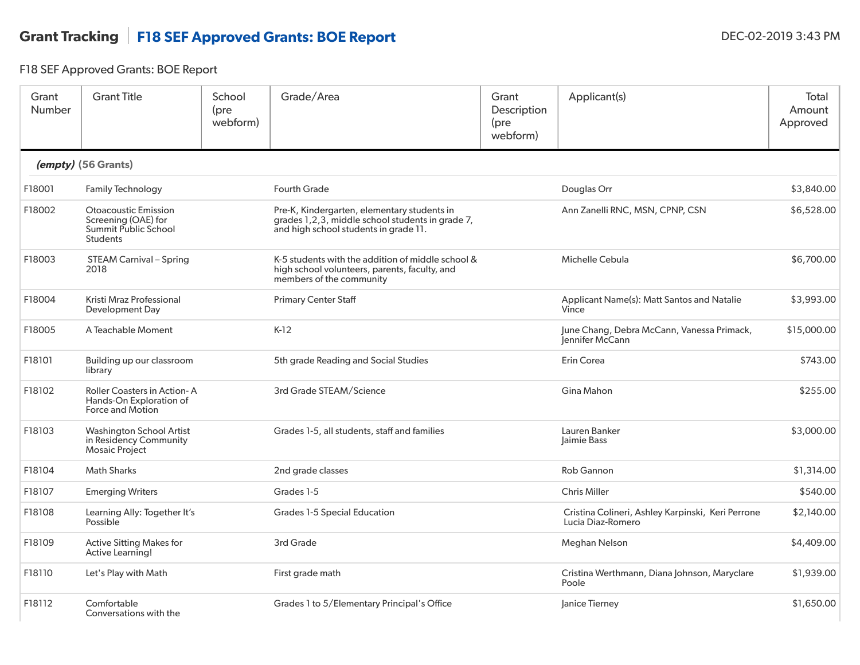## Grant Tracking | F18 SEF Approved Grants: BOE Report DEC-02-2019 3:43 PM

F18 SEF Approved Grants: BOE Report

| Grant<br>Number | <b>Grant Title</b>                                                                            | School<br>(pre<br>webform) | Grade/Area                                                                                                                               | Grant<br>Description<br>(pre<br>webform) | Applicant(s)                                                           | Total<br>Amount<br>Approved |
|-----------------|-----------------------------------------------------------------------------------------------|----------------------------|------------------------------------------------------------------------------------------------------------------------------------------|------------------------------------------|------------------------------------------------------------------------|-----------------------------|
|                 | (empty) (56 Grants)                                                                           |                            |                                                                                                                                          |                                          |                                                                        |                             |
| F18001          | <b>Family Technology</b>                                                                      |                            | <b>Fourth Grade</b>                                                                                                                      |                                          | Douglas Orr                                                            | \$3,840.00                  |
| F18002          | <b>Otoacoustic Emission</b><br>Screening (OAE) for<br>Summit Public School<br><b>Students</b> |                            | Pre-K, Kindergarten, elementary students in<br>grades 1,2,3, middle school students in grade 7,<br>and high school students in grade 11. |                                          | Ann Zanelli RNC, MSN, CPNP, CSN                                        | \$6,528.00                  |
| F18003          | <b>STEAM Carnival - Spring</b><br>2018                                                        |                            | K-5 students with the addition of middle school &<br>high school volunteers, parents, faculty, and<br>members of the community           |                                          | Michelle Cebula                                                        | \$6,700.00                  |
| F18004          | Kristi Mraz Professional<br>Development Day                                                   |                            | <b>Primary Center Staff</b>                                                                                                              |                                          | Applicant Name(s): Matt Santos and Natalie<br>Vince                    | \$3,993.00                  |
| F18005          | A Teachable Moment                                                                            |                            | $K-12$                                                                                                                                   |                                          | June Chang, Debra McCann, Vanessa Primack,<br>lennifer McCann          | \$15,000.00                 |
| F18101          | Building up our classroom<br>library                                                          |                            | 5th grade Reading and Social Studies                                                                                                     |                                          | Erin Corea                                                             | \$743.00                    |
| F18102          | Roller Coasters in Action-A<br>Hands-On Exploration of<br>Force and Motion                    |                            | 3rd Grade STEAM/Science                                                                                                                  |                                          | Gina Mahon                                                             | \$255.00                    |
| F18103          | <b>Washington School Artist</b><br>in Residency Community<br><b>Mosaic Project</b>            |                            | Grades 1-5, all students, staff and families                                                                                             |                                          | Lauren Banker<br>Jaimie Bass                                           | \$3,000.00                  |
| F18104          | <b>Math Sharks</b>                                                                            |                            | 2nd grade classes                                                                                                                        |                                          | <b>Rob Gannon</b>                                                      | \$1,314.00                  |
| F18107          | <b>Emerging Writers</b>                                                                       |                            | Grades 1-5                                                                                                                               |                                          | <b>Chris Miller</b>                                                    | \$540.00                    |
| F18108          | Learning Ally: Together It's<br>Possible                                                      |                            | <b>Grades 1-5 Special Education</b>                                                                                                      |                                          | Cristina Colineri, Ashley Karpinski, Keri Perrone<br>Lucia Diaz-Romero | \$2,140.00                  |
| F18109          | <b>Active Sitting Makes for</b><br>Active Learning!                                           |                            | 3rd Grade                                                                                                                                |                                          | Meghan Nelson                                                          | \$4,409.00                  |
| F18110          | Let's Play with Math                                                                          |                            | First grade math                                                                                                                         |                                          | Cristina Werthmann, Diana Johnson, Maryclare<br>Poole                  | \$1,939.00                  |
| F18112          | Comfortable<br>Conversations with the                                                         |                            | Grades 1 to 5/Elementary Principal's Office                                                                                              |                                          | Janice Tierney                                                         | \$1,650.00                  |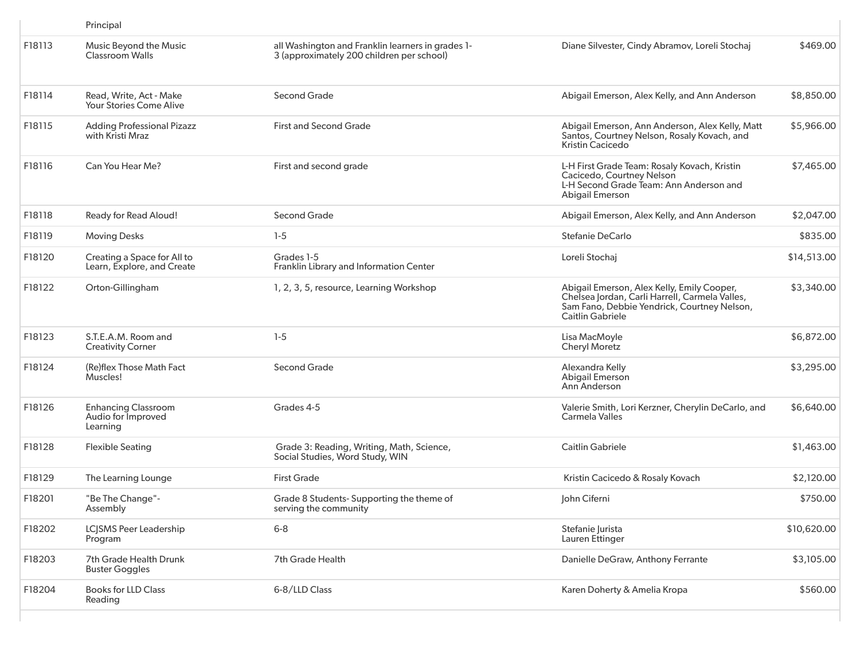|        | Principal                                                    |                                                                                                |                                                                                                                                                                 |             |
|--------|--------------------------------------------------------------|------------------------------------------------------------------------------------------------|-----------------------------------------------------------------------------------------------------------------------------------------------------------------|-------------|
| F18113 | Music Beyond the Music<br><b>Classroom Walls</b>             | all Washington and Franklin learners in grades 1-<br>3 (approximately 200 children per school) | Diane Silvester, Cindy Abramov, Loreli Stochaj                                                                                                                  | \$469.00    |
| F18114 | Read, Write, Act - Make<br>Your Stories Come Alive           | Second Grade                                                                                   | Abigail Emerson, Alex Kelly, and Ann Anderson                                                                                                                   | \$8,850.00  |
| F18115 | <b>Adding Professional Pizazz</b><br>with Kristi Mraz        | <b>First and Second Grade</b>                                                                  | Abigail Emerson, Ann Anderson, Alex Kelly, Matt<br>Santos, Courtney Nelson, Rosaly Kovach, and<br>Kristin Cacicedo                                              | \$5,966.00  |
| F18116 | Can You Hear Me?                                             | First and second grade                                                                         | L-H First Grade Team: Rosaly Kovach, Kristin<br>Cacicedo, Courtney Nelson<br>L-H Second Grade Team: Ann Anderson and<br><b>Abigail Emerson</b>                  | \$7,465.00  |
| F18118 | Ready for Read Aloud!                                        | Second Grade                                                                                   | Abigail Emerson, Alex Kelly, and Ann Anderson                                                                                                                   | \$2,047.00  |
| F18119 | <b>Moving Desks</b>                                          | $1-5$                                                                                          | Stefanie DeCarlo                                                                                                                                                | \$835.00    |
| F18120 | Creating a Space for All to<br>Learn, Explore, and Create    | Grades 1-5<br>Franklin Library and Information Center                                          | Loreli Stochaj                                                                                                                                                  | \$14,513.00 |
| F18122 | Orton-Gillingham                                             | 1, 2, 3, 5, resource, Learning Workshop                                                        | Abigail Emerson, Alex Kelly, Emily Cooper,<br>Chelsea Jordan, Carli Harrell, Carmela Valles,<br>Sam Fano, Debbie Yendrick, Courtney Nelson,<br>Caitlin Gabriele | \$3,340.00  |
| F18123 | S.T.E.A.M. Room and<br><b>Creativity Corner</b>              | $1-5$                                                                                          | Lisa MacMoyle<br><b>Cheryl Moretz</b>                                                                                                                           | \$6,872.00  |
| F18124 | (Re)flex Those Math Fact<br>Muscles!                         | Second Grade                                                                                   | Alexandra Kelly<br><b>Abigail Emerson</b><br>Ann Anderson                                                                                                       | \$3,295.00  |
| F18126 | <b>Enhancing Classroom</b><br>Audio for Improved<br>Learning | Grades 4-5                                                                                     | Valerie Smith, Lori Kerzner, Cherylin DeCarlo, and<br>Carmela Valles                                                                                            | \$6,640.00  |
| F18128 | <b>Flexible Seating</b>                                      | Grade 3: Reading, Writing, Math, Science,<br>Social Studies, Word Study, WIN                   | <b>Caitlin Gabriele</b>                                                                                                                                         | \$1,463.00  |
| F18129 | The Learning Lounge                                          | <b>First Grade</b>                                                                             | Kristin Cacicedo & Rosaly Kovach                                                                                                                                | \$2,120.00  |
| F18201 | "Be The Change"-<br>Assembly                                 | Grade 8 Students- Supporting the theme of<br>serving the community                             | John Ciferni                                                                                                                                                    | \$750.00    |
| F18202 | <b>LCJSMS Peer Leadership</b><br>Program                     | $6 - 8$                                                                                        | Stefanie Jurista<br>Lauren Ettinger                                                                                                                             | \$10,620.00 |
| F18203 | 7th Grade Health Drunk<br><b>Buster Goggles</b>              | 7th Grade Health                                                                               | Danielle DeGraw, Anthony Ferrante                                                                                                                               | \$3,105.00  |
| F18204 | <b>Books for LLD Class</b><br>Reading                        | 6-8/LLD Class                                                                                  | Karen Doherty & Amelia Kropa                                                                                                                                    | \$560.00    |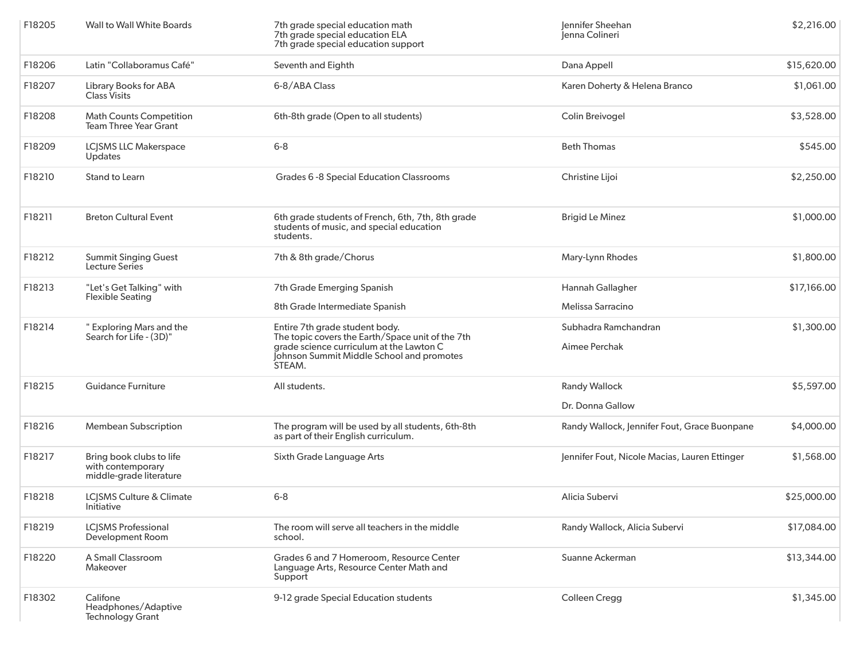| F18205 | <b>Wall to Wall White Boards</b>                                         | 7th grade special education math<br>7th grade special education ELA<br>7th grade special education support                                                                            | Jennifer Sheehan<br>Jenna Colineri            | \$2,216.00  |
|--------|--------------------------------------------------------------------------|---------------------------------------------------------------------------------------------------------------------------------------------------------------------------------------|-----------------------------------------------|-------------|
| F18206 | Latin "Collaboramus Café"                                                | Seventh and Eighth                                                                                                                                                                    | Dana Appell                                   | \$15,620.00 |
| F18207 | Library Books for ABA<br><b>Class Visits</b>                             | 6-8/ABA Class                                                                                                                                                                         | Karen Doherty & Helena Branco                 | \$1,061.00  |
| F18208 | <b>Math Counts Competition</b><br><b>Team Three Year Grant</b>           | 6th-8th grade (Open to all students)                                                                                                                                                  | Colin Breivogel                               | \$3,528.00  |
| F18209 | <b>LCJSMS LLC Makerspace</b><br>Updates                                  | $6 - 8$                                                                                                                                                                               | <b>Beth Thomas</b>                            | \$545.00    |
| F18210 | Stand to Learn                                                           | Grades 6 -8 Special Education Classrooms                                                                                                                                              | Christine Lijoi                               | \$2,250.00  |
| F18211 | <b>Breton Cultural Event</b>                                             | 6th grade students of French, 6th, 7th, 8th grade<br>students of music, and special education<br>students.                                                                            | <b>Brigid Le Minez</b>                        | \$1,000.00  |
| F18212 | <b>Summit Singing Guest</b><br>Lecture Series                            | 7th & 8th grade/Chorus                                                                                                                                                                | Mary-Lynn Rhodes                              | \$1,800.00  |
| F18213 | "Let's Get Talking" with                                                 | 7th Grade Emerging Spanish                                                                                                                                                            | Hannah Gallagher                              | \$17,166.00 |
|        | <b>Flexible Seating</b>                                                  | 8th Grade Intermediate Spanish                                                                                                                                                        | Melissa Sarracino                             |             |
| F18214 | " Exploring Mars and the<br>Search for Life - (3D)"                      | Entire 7th grade student body.<br>The topic covers the Earth/Space unit of the 7th<br>grade science curriculum at the Lawton C<br>Johnson Summit Middle School and promotes<br>STEAM. | Subhadra Ramchandran                          | \$1,300.00  |
|        |                                                                          |                                                                                                                                                                                       | Aimee Perchak                                 |             |
| F18215 | <b>Guidance Furniture</b>                                                | All students.                                                                                                                                                                         | <b>Randy Wallock</b>                          | \$5,597.00  |
|        |                                                                          |                                                                                                                                                                                       | Dr. Donna Gallow                              |             |
| F18216 | <b>Membean Subscription</b>                                              | The program will be used by all students, 6th-8th<br>as part of their English curriculum.                                                                                             | Randy Wallock, Jennifer Fout, Grace Buonpane  | \$4,000.00  |
| F18217 | Bring book clubs to life<br>with contemporary<br>middle-grade literature | Sixth Grade Language Arts                                                                                                                                                             | Jennifer Fout, Nicole Macias, Lauren Ettinger | \$1,568.00  |
| F18218 | LCJSMS Culture & Climate<br>Initiative                                   | $6 - 8$                                                                                                                                                                               | Alicia Subervi                                | \$25,000.00 |
| F18219 | <b>LCJSMS Professional</b><br>Development Room                           | The room will serve all teachers in the middle<br>school.                                                                                                                             | Randy Wallock, Alicia Subervi                 | \$17,084.00 |
| F18220 | A Small Classroom<br>Makeover                                            | Grades 6 and 7 Homeroom, Resource Center<br>Language Arts, Resource Center Math and<br>Support                                                                                        | Suanne Ackerman                               | \$13,344.00 |
| F18302 | Califone<br>Headphones/Adaptive<br><b>Technology Grant</b>               | 9-12 grade Special Education students                                                                                                                                                 | Colleen Cregg                                 | \$1,345.00  |